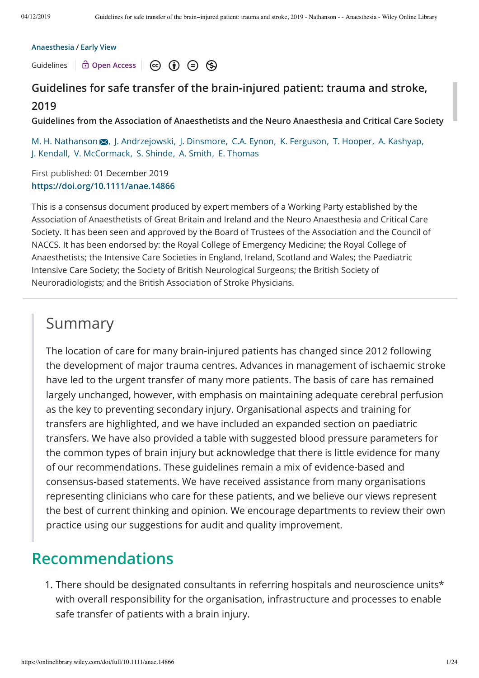#### **Anaesthesia / Early View**

Guidelines **C** Open Access  $\circ$  (c) (i)  $\circ$  (s)

### **Guidelines for safe transfer of the brain‐injured patient: trauma and stroke, 2019**

**Guidelines from the Association of Anaesthetists and the Neuro Anaesthesia and Critical Care Society**

M. H. Nathanson  $\overline{M}$ , J. Andrzejowski, J. Dinsmore, C.A. Eynon, K. Ferguson, T. Hooper, A. Kashyap, J. Kendall, V. McCormack, S. Shinde, A. Smith, E. Thomas

First published: 01 December 2019 **https://doi.org/10.1111/anae.14866**

This is a consensus document produced by expert members of a Working Party established by the Association of Anaesthetists of Great Britain and Ireland and the Neuro Anaesthesia and Critical Care Society. It has been seen and approved by the Board of Trustees of the Association and the Council of NACCS. It has been endorsed by: the Royal College of Emergency Medicine; the Royal College of Anaesthetists; the Intensive Care Societies in England, Ireland, Scotland and Wales; the Paediatric Intensive Care Society; the Society of British Neurological Surgeons; the British Society of Neuroradiologists; and the British Association of Stroke Physicians.

### Summary

The location of care for many brain‐injured patients has changed since 2012 following the development of major trauma centres. Advances in management of ischaemic stroke have led to the urgent transfer of many more patients. The basis of care has remained largely unchanged, however, with emphasis on maintaining adequate cerebral perfusion as the key to preventing secondary injury. Organisational aspects and training for transfers are highlighted, and we have included an expanded section on paediatric transfers. We have also provided a table with suggested blood pressure parameters for the common types of brain injury but acknowledge that there is little evidence for many of our recommendations. These guidelines remain a mix of evidence‐based and consensus‐based statements. We have received assistance from many organisations representing clinicians who care for these patients, and we believe our views represent the best of current thinking and opinion. We encourage departments to review their own practice using our suggestions for audit and quality improvement.

## **Recommendations**

1. There should be designated consultants in referring hospitals and neuroscience units\* with overall responsibility for the organisation, infrastructure and processes to enable safe transfer of patients with a brain injury.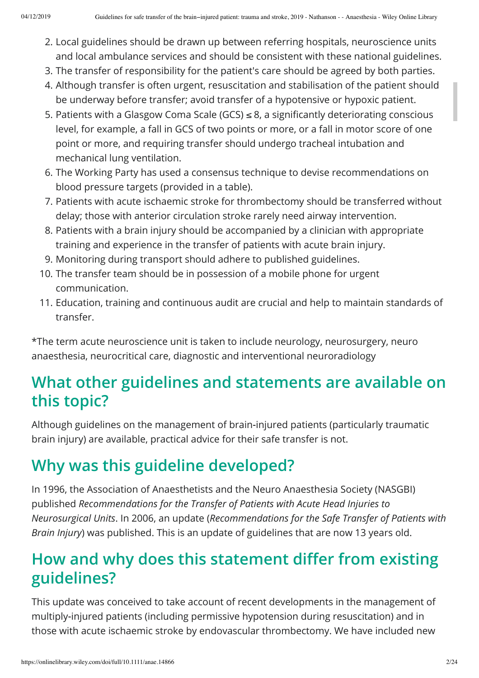- 2. Local guidelines should be drawn up between referring hospitals, neuroscience units and local ambulance services and should be consistent with these national guidelines.
- 3. The transfer of responsibility for the patient's care should be agreed by both parties.
- 4. Although transfer is often urgent, resuscitation and stabilisation of the patient should be underway before transfer; avoid transfer of a hypotensive or hypoxic patient.
- 5. Patients with a Glasgow Coma Scale (GCS)  $\leq 8$ , a significantly deteriorating conscious level, for example, a fall in GCS of two points or more, or a fall in motor score of one point or more, and requiring transfer should undergo tracheal intubation and mechanical lung ventilation.
- 6. The Working Party has used a consensus technique to devise recommendations on blood pressure targets (provided in a table).
- 7. Patients with acute ischaemic stroke for thrombectomy should be transferred without delay; those with anterior circulation stroke rarely need airway intervention.
- 8. Patients with a brain injury should be accompanied by a clinician with appropriate training and experience in the transfer of patients with acute brain injury.
- 9. Monitoring during transport should adhere to published guidelines.
- 10. The transfer team should be in possession of a mobile phone for urgent communication.
- 11. Education, training and continuous audit are crucial and help to maintain standards of transfer.

\*The term acute neuroscience unit is taken to include neurology, neurosurgery, neuro anaesthesia, neurocritical care, diagnostic and interventional neuroradiology

# **What other guidelines and statements are available on this topic?**

Although guidelines on the management of brain‐injured patients (particularly traumatic brain injury) are available, practical advice for their safe transfer is not.

# **Why was this guideline developed?**

In 1996, the Association of Anaesthetists and the Neuro Anaesthesia Society (NASGBI) published *Recommendations for the Transfer of Patients with Acute Head Injuries to Neurosurgical Units*. In 2006, an update (*Recommendations for the Safe Transfer of Patients with Brain Injury*) was published. This is an update of guidelines that are now 13 years old.

# **How and why does this statement differ from existing guidelines?**

This update was conceived to take account of recent developments in the management of multiply‐injured patients (including permissive hypotension during resuscitation) and in those with acute ischaemic stroke by endovascular thrombectomy. We have included new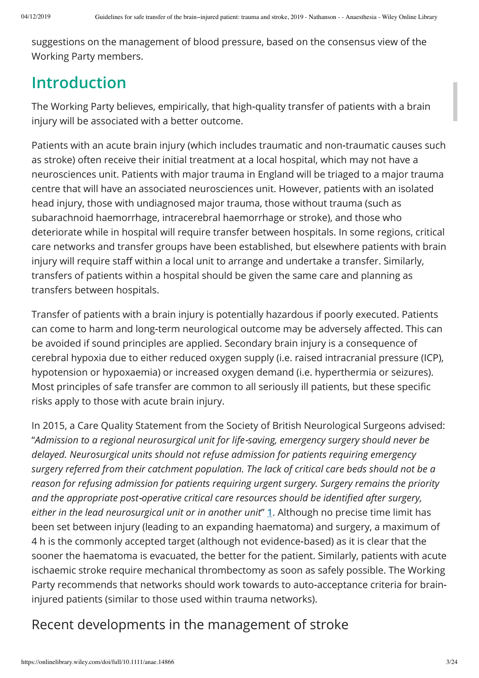suggestions on the management of blood pressure, based on the consensus view of the Working Party members.

# **Introduction**

The Working Party believes, empirically, that high‐quality transfer of patients with a brain injury will be associated with a better outcome.

Patients with an acute brain injury (which includes traumatic and non‐traumatic causes such as stroke) often receive their initial treatment at a local hospital, which may not have a neurosciences unit. Patients with major trauma in England will be triaged to a major trauma centre that will have an associated neurosciences unit. However, patients with an isolated head injury, those with undiagnosed major trauma, those without trauma (such as subarachnoid haemorrhage, intracerebral haemorrhage or stroke), and those who deteriorate while in hospital will require transfer between hospitals. In some regions, critical care networks and transfer groups have been established, but elsewhere patients with brain injury will require staff within a local unit to arrange and undertake a transfer. Similarly, transfers of patients within a hospital should be given the same care and planning as transfers between hospitals.

Transfer of patients with a brain injury is potentially hazardous if poorly executed. Patients can come to harm and long-term neurological outcome may be adversely affected. This can be avoided if sound principles are applied. Secondary brain injury is a consequence of cerebral hypoxia due to either reduced oxygen supply (i.e. raised intracranial pressure (ICP), hypotension or hypoxaemia) or increased oxygen demand (i.e. hyperthermia or seizures). Most principles of safe transfer are common to all seriously ill patients, but these specific risks apply to those with acute brain injury.

In 2015, a Care Quality Statement from the Society of British Neurological Surgeons advised: "*Admission to a regional neurosurgical unit for life*‐*saving, emergency surgery should never be delayed. Neurosurgical units should not refuse admission for patients requiring emergency surgery referred from their catchment population. The lack of critical care beds should not be a reason for refusing admission for patients requiring urgent surgery. Surgery remains the priority* and the appropriate post-operative critical care resources should be identified after surgery, *either in the lead neurosurgical unit or in another unit*" **1**. Although no precise time limit has been set between injury (leading to an expanding haematoma) and surgery, a maximum of 4 h is the commonly accepted target (although not evidence‐based) as it is clear that the sooner the haematoma is evacuated, the better for the patient. Similarly, patients with acute ischaemic stroke require mechanical thrombectomy as soon as safely possible. The Working Party recommends that networks should work towards to auto‐acceptance criteria for brain‐ injured patients (similar to those used within trauma networks).

## Recent developments in the management of stroke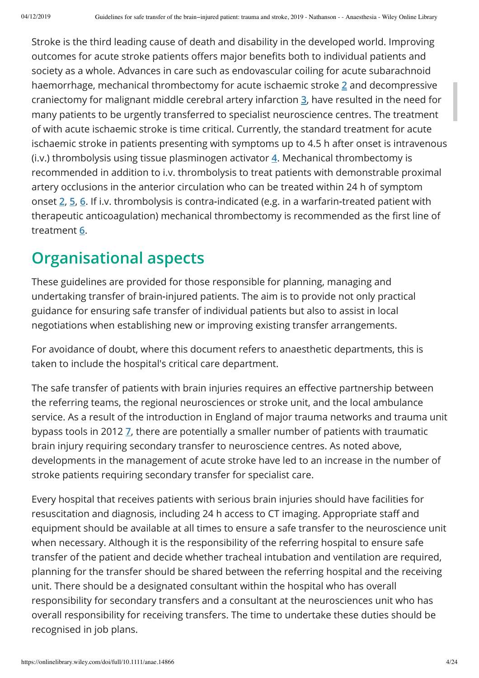Stroke is the third leading cause of death and disability in the developed world. Improving outcomes for acute stroke patients offers major benefits both to individual patients and society as a whole. Advances in care such as endovascular coiling for acute subarachnoid haemorrhage, mechanical thrombectomy for acute ischaemic stroke **2** and decompressive craniectomy for malignant middle cerebral artery infarction **3**, have resulted in the need for many patients to be urgently transferred to specialist neuroscience centres. The treatment of with acute ischaemic stroke is time critical. Currently, the standard treatment for acute ischaemic stroke in patients presenting with symptoms up to 4.5 h after onset is intravenous (i.v.) thrombolysis using tissue plasminogen activator **4**. Mechanical thrombectomy is recommended in addition to i.v. thrombolysis to treat patients with demonstrable proximal artery occlusions in the anterior circulation who can be treated within 24 h of symptom onset **2**, **5**, **6**. If i.v. thrombolysis is contra‐indicated (e.g. in a warfarin‐treated patient with therapeutic anticoagulation) mechanical thrombectomy is recommended as the first line of treatment **6**.

# **Organisational aspects**

These guidelines are provided for those responsible for planning, managing and undertaking transfer of brain‐injured patients. The aim is to provide not only practical guidance for ensuring safe transfer of individual patients but also to assist in local negotiations when establishing new or improving existing transfer arrangements.

For avoidance of doubt, where this document refers to anaesthetic departments, this is taken to include the hospital's critical care department.

The safe transfer of patients with brain injuries requires an effective partnership between the referring teams, the regional neurosciences or stroke unit, and the local ambulance service. As a result of the introduction in England of major trauma networks and trauma unit bypass tools in 2012 **7**, there are potentially a smaller number of patients with traumatic brain injury requiring secondary transfer to neuroscience centres. As noted above, developments in the management of acute stroke have led to an increase in the number of stroke patients requiring secondary transfer for specialist care.

Every hospital that receives patients with serious brain injuries should have facilities for resuscitation and diagnosis, including 24 h access to CT imaging. Appropriate staff and equipment should be available at all times to ensure a safe transfer to the neuroscience unit when necessary. Although it is the responsibility of the referring hospital to ensure safe transfer of the patient and decide whether tracheal intubation and ventilation are required, planning for the transfer should be shared between the referring hospital and the receiving unit. There should be a designated consultant within the hospital who has overall responsibility for secondary transfers and a consultant at the neurosciences unit who has overall responsibility for receiving transfers. The time to undertake these duties should be recognised in job plans.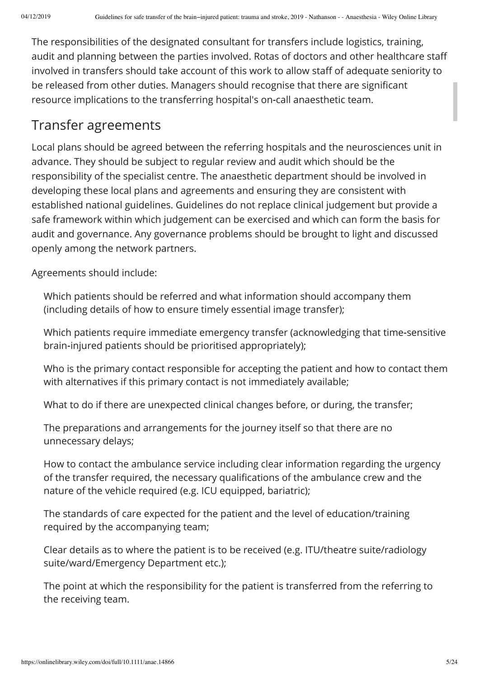The responsibilities of the designated consultant for transfers include logistics, training, audit and planning between the parties involved. Rotas of doctors and other healthcare sta involved in transfers should take account of this work to allow staff of adequate seniority to be released from other duties. Managers should recognise that there are signicant resource implications to the transferring hospital's on‐call anaesthetic team.

### Transfer agreements

Local plans should be agreed between the referring hospitals and the neurosciences unit in advance. They should be subject to regular review and audit which should be the responsibility of the specialist centre. The anaesthetic department should be involved in developing these local plans and agreements and ensuring they are consistent with established national guidelines. Guidelines do not replace clinical judgement but provide a safe framework within which judgement can be exercised and which can form the basis for audit and governance. Any governance problems should be brought to light and discussed openly among the network partners.

Agreements should include:

Which patients should be referred and what information should accompany them (including details of how to ensure timely essential image transfer);

Which patients require immediate emergency transfer (acknowledging that time‐sensitive brain‐injured patients should be prioritised appropriately);

Who is the primary contact responsible for accepting the patient and how to contact them with alternatives if this primary contact is not immediately available;

What to do if there are unexpected clinical changes before, or during, the transfer;

The preparations and arrangements for the journey itself so that there are no unnecessary delays;

How to contact the ambulance service including clear information regarding the urgency of the transfer required, the necessary qualifications of the ambulance crew and the nature of the vehicle required (e.g. ICU equipped, bariatric);

The standards of care expected for the patient and the level of education/training required by the accompanying team;

Clear details as to where the patient is to be received (e.g. ITU/theatre suite/radiology suite/ward/Emergency Department etc.);

The point at which the responsibility for the patient is transferred from the referring to the receiving team.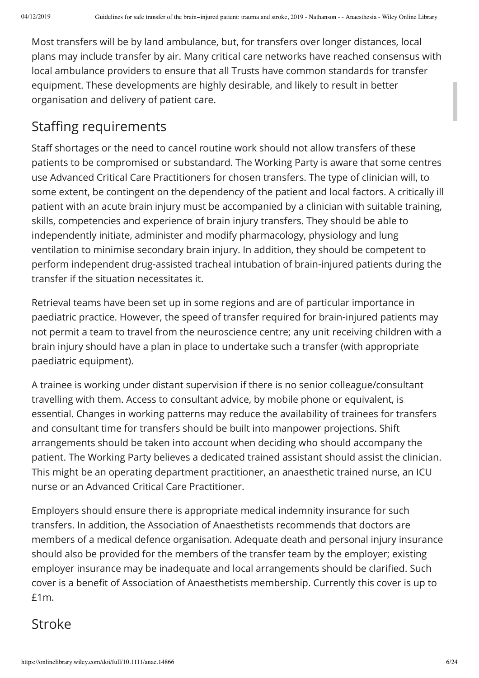Most transfers will be by land ambulance, but, for transfers over longer distances, local plans may include transfer by air. Many critical care networks have reached consensus with local ambulance providers to ensure that all Trusts have common standards for transfer equipment. These developments are highly desirable, and likely to result in better organisation and delivery of patient care.

## Staffing requirements

Staff shortages or the need to cancel routine work should not allow transfers of these patients to be compromised or substandard. The Working Party is aware that some centres use Advanced Critical Care Practitioners for chosen transfers. The type of clinician will, to some extent, be contingent on the dependency of the patient and local factors. A critically ill patient with an acute brain injury must be accompanied by a clinician with suitable training, skills, competencies and experience of brain injury transfers. They should be able to independently initiate, administer and modify pharmacology, physiology and lung ventilation to minimise secondary brain injury. In addition, they should be competent to perform independent drug‐assisted tracheal intubation of brain‐injured patients during the transfer if the situation necessitates it.

Retrieval teams have been set up in some regions and are of particular importance in paediatric practice. However, the speed of transfer required for brain‐injured patients may not permit a team to travel from the neuroscience centre; any unit receiving children with a brain injury should have a plan in place to undertake such a transfer (with appropriate paediatric equipment).

A trainee is working under distant supervision if there is no senior colleague/consultant travelling with them. Access to consultant advice, by mobile phone or equivalent, is essential. Changes in working patterns may reduce the availability of trainees for transfers and consultant time for transfers should be built into manpower projections. Shift arrangements should be taken into account when deciding who should accompany the patient. The Working Party believes a dedicated trained assistant should assist the clinician. This might be an operating department practitioner, an anaesthetic trained nurse, an ICU nurse or an Advanced Critical Care Practitioner.

Employers should ensure there is appropriate medical indemnity insurance for such transfers. In addition, the Association of Anaesthetists recommends that doctors are members of a medical defence organisation. Adequate death and personal injury insurance should also be provided for the members of the transfer team by the employer; existing employer insurance may be inadequate and local arrangements should be clarified. Such cover is a benefit of Association of Anaesthetists membership. Currently this cover is up to £1m.

## Stroke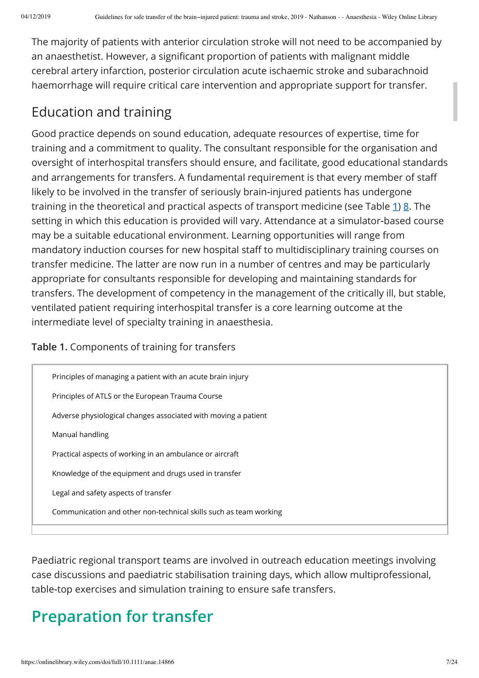The majority of patients with anterior circulation stroke will not need to be accompanied by an anaesthetist. However, a significant proportion of patients with malignant middle cerebral artery infarction, posterior circulation acute ischaemic stroke and subarachnoid haemorrhage will require critical care intervention and appropriate support for transfer.

# Education and training

Good practice depends on sound education, adequate resources of expertise, time for training and a commitment to quality. The consultant responsible for the organisation and oversight of interhospital transfers should ensure, and facilitate, good educational standards and arrangements for transfers. A fundamental requirement is that every member of sta likely to be involved in the transfer of seriously brain‐injured patients has undergone training in the theoretical and practical aspects of transport medicine (see Table **1**) **8**. The setting in which this education is provided will vary. Attendance at a simulator‐based course may be a suitable educational environment. Learning opportunities will range from mandatory induction courses for new hospital staff to multidisciplinary training courses on transfer medicine. The latter are now run in a number of centres and may be particularly appropriate for consultants responsible for developing and maintaining standards for transfers. The development of competency in the management of the critically ill, but stable, ventilated patient requiring interhospital transfer is a core learning outcome at the intermediate level of specialty training in anaesthesia.

#### **Table 1.** Components of training for transfers

| Principles of managing a patient with an acute brain injury       |
|-------------------------------------------------------------------|
| Principles of ATLS or the European Trauma Course                  |
| Adverse physiological changes associated with moving a patient    |
| Manual handling                                                   |
| Practical aspects of working in an ambulance or aircraft          |
| Knowledge of the equipment and drugs used in transfer             |
| Legal and safety aspects of transfer                              |
| Communication and other non-technical skills such as team working |
|                                                                   |

Paediatric regional transport teams are involved in outreach education meetings involving case discussions and paediatric stabilisation training days, which allow multiprofessional, table‐top exercises and simulation training to ensure safe transfers.

# **Preparation for transfer**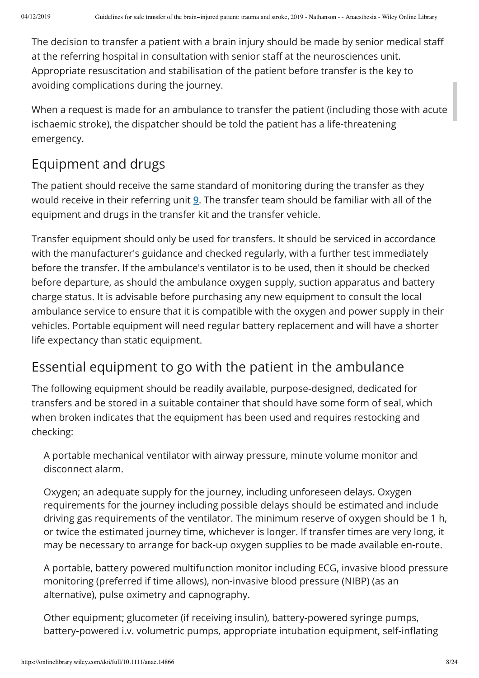The decision to transfer a patient with a brain injury should be made by senior medical staff at the referring hospital in consultation with senior staff at the neurosciences unit. Appropriate resuscitation and stabilisation of the patient before transfer is the key to avoiding complications during the journey.

When a request is made for an ambulance to transfer the patient (including those with acute ischaemic stroke), the dispatcher should be told the patient has a life-threatening emergency.

## Equipment and drugs

The patient should receive the same standard of monitoring during the transfer as they would receive in their referring unit **9**. The transfer team should be familiar with all of the equipment and drugs in the transfer kit and the transfer vehicle.

Transfer equipment should only be used for transfers. It should be serviced in accordance with the manufacturer's guidance and checked regularly, with a further test immediately before the transfer. If the ambulance's ventilator is to be used, then it should be checked before departure, as should the ambulance oxygen supply, suction apparatus and battery charge status. It is advisable before purchasing any new equipment to consult the local ambulance service to ensure that it is compatible with the oxygen and power supply in their vehicles. Portable equipment will need regular battery replacement and will have a shorter life expectancy than static equipment.

## Essential equipment to go with the patient in the ambulance

The following equipment should be readily available, purpose‐designed, dedicated for transfers and be stored in a suitable container that should have some form of seal, which when broken indicates that the equipment has been used and requires restocking and checking:

A portable mechanical ventilator with airway pressure, minute volume monitor and disconnect alarm.

Oxygen; an adequate supply for the journey, including unforeseen delays. Oxygen requirements for the journey including possible delays should be estimated and include driving gas requirements of the ventilator. The minimum reserve of oxygen should be 1 h, or twice the estimated journey time, whichever is longer. If transfer times are very long, it may be necessary to arrange for back‐up oxygen supplies to be made available en‐route.

A portable, battery powered multifunction monitor including ECG, invasive blood pressure monitoring (preferred if time allows), non‐invasive blood pressure (NIBP) (as an alternative), pulse oximetry and capnography.

Other equipment; glucometer (if receiving insulin), battery‐powered syringe pumps, battery-powered i.v. volumetric pumps, appropriate intubation equipment, self-inflating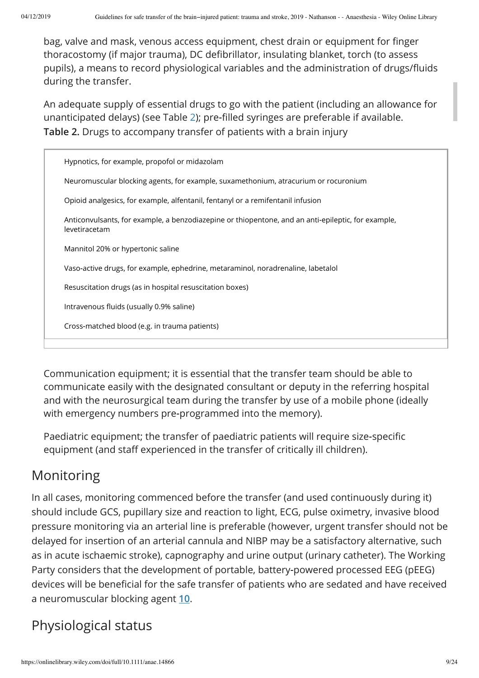bag, valve and mask, venous access equipment, chest drain or equipment for finger thoracostomy (if major trauma), DC defibrillator, insulating blanket, torch (to assess pupils), a means to record physiological variables and the administration of drugs/fluids during the transfer.

An adequate supply of essential drugs to go with the patient (including an allowance for unanticipated delays) (see Table 2); pre-filled syringes are preferable if available. **Table 2.** Drugs to accompany transfer of patients with a brain injury

| Hypnotics, for example, propofol or midazolam                                                                       |
|---------------------------------------------------------------------------------------------------------------------|
| Neuromuscular blocking agents, for example, suxamethonium, atracurium or rocuronium                                 |
| Opioid analgesics, for example, alfentanil, fentanyl or a remifentanil infusion                                     |
| Anticonvulsants, for example, a benzodiazepine or thiopentone, and an anti-epileptic, for example,<br>levetiracetam |
| Mannitol 20% or hypertonic saline                                                                                   |
| Vaso-active drugs, for example, ephedrine, metaraminol, noradrenaline, labetalol                                    |
| Resuscitation drugs (as in hospital resuscitation boxes)                                                            |
| Intravenous fluids (usually 0.9% saline)                                                                            |
| Cross-matched blood (e.g. in trauma patients)                                                                       |
|                                                                                                                     |

Communication equipment; it is essential that the transfer team should be able to communicate easily with the designated consultant or deputy in the referring hospital and with the neurosurgical team during the transfer by use of a mobile phone (ideally with emergency numbers pre‐programmed into the memory).

Paediatric equipment; the transfer of paediatric patients will require size-specific equipment (and staff experienced in the transfer of critically ill children).

## Monitoring

In all cases, monitoring commenced before the transfer (and used continuously during it) should include GCS, pupillary size and reaction to light, ECG, pulse oximetry, invasive blood pressure monitoring via an arterial line is preferable (however, urgent transfer should not be delayed for insertion of an arterial cannula and NIBP may be a satisfactory alternative, such as in acute ischaemic stroke), capnography and urine output (urinary catheter). The Working Party considers that the development of portable, battery‐powered processed EEG (pEEG) devices will be beneficial for the safe transfer of patients who are sedated and have received a neuromuscular blocking agent **10**.

# Physiological status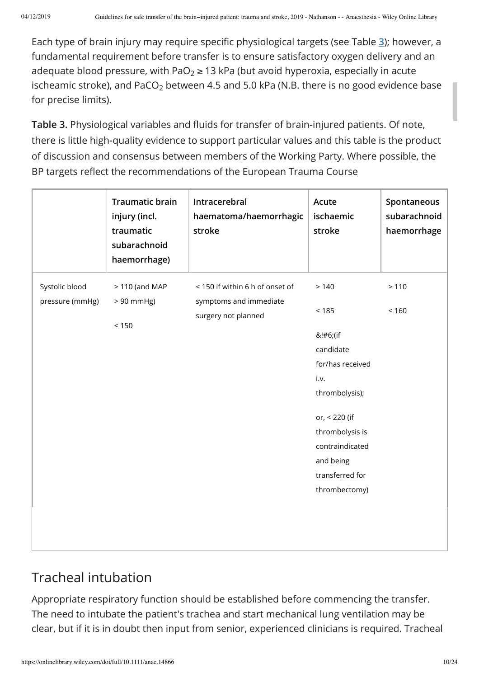Each type of brain injury may require specific physiological targets (see Table 3); however, a fundamental requirement before transfer is to ensure satisfactory oxygen delivery and an adequate blood pressure, with PaO $_2$   $\geq$  13 kPa (but avoid hyperoxia, especially in acute ischeamic stroke), and PaCO $_2$  between 4.5 and 5.0 kPa (N.B. there is no good evidence base for precise limits).

Table 3. Physiological variables and fluids for transfer of brain-injured patients. Of note, there is little high‐quality evidence to support particular values and this table is the product of discussion and consensus between members of the Working Party. Where possible, the BP targets reflect the recommendations of the European Trauma Course

|                                   | <b>Traumatic brain</b><br>injury (incl.<br>traumatic<br>subarachnoid<br>haemorrhage) | Intracerebral<br>haematoma/haemorrhagic<br>stroke         | Acute<br>ischaemic<br>stroke                                                                                                                                                | Spontaneous<br>subarachnoid<br>haemorrhage |
|-----------------------------------|--------------------------------------------------------------------------------------|-----------------------------------------------------------|-----------------------------------------------------------------------------------------------------------------------------------------------------------------------------|--------------------------------------------|
| Systolic blood<br>pressure (mmHg) | $>110$ (and MAP<br>$> 90$ mmHg)                                                      | < 150 if within 6 h of onset of<br>symptoms and immediate | > 140<br>< 185                                                                                                                                                              | > 110<br>< 160                             |
|                                   | < 150                                                                                | surgery not planned                                       | &!#6;(if<br>candidate<br>for/has received<br>i.v.<br>thrombolysis);<br>or, < 220 (if<br>thrombolysis is<br>contraindicated<br>and being<br>transferred for<br>thrombectomy) |                                            |
|                                   |                                                                                      |                                                           |                                                                                                                                                                             |                                            |

## Tracheal intubation

Appropriate respiratory function should be established before commencing the transfer. The need to intubate the patient's trachea and start mechanical lung ventilation may be clear, but if it is in doubt then input from senior, experienced clinicians is required. Tracheal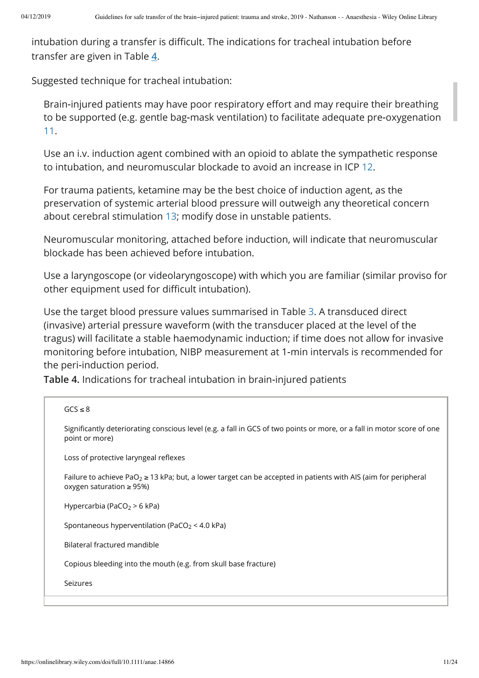intubation during a transfer is difficult. The indications for tracheal intubation before transfer are given in Table **4**.

Suggested technique for tracheal intubation:

Brain-injured patients may have poor respiratory effort and may require their breathing to be supported (e.g. gentle bag‐mask ventilation) to facilitate adequate pre‐oxygenation 11.

Use an i.v. induction agent combined with an opioid to ablate the sympathetic response to intubation, and neuromuscular blockade to avoid an increase in ICP 12.

For trauma patients, ketamine may be the best choice of induction agent, as the preservation of systemic arterial blood pressure will outweigh any theoretical concern about cerebral stimulation 13; modify dose in unstable patients.

Neuromuscular monitoring, attached before induction, will indicate that neuromuscular blockade has been achieved before intubation.

Use a laryngoscope (or videolaryngoscope) with which you are familiar (similar proviso for other equipment used for difficult intubation).

Use the target blood pressure values summarised in Table 3. A transduced direct (invasive) arterial pressure waveform (with the transducer placed at the level of the tragus) will facilitate a stable haemodynamic induction; if time does not allow for invasive monitoring before intubation, NIBP measurement at 1‐min intervals is recommended for the peri‐induction period.

**Table 4.** Indications for tracheal intubation in brain‐injured patients

```
GCS \leq 8Significantly deteriorating conscious level (e.g. a fall in GCS of two points or more, or a fall in motor score of one
point or more)
Loss of protective laryngeal reflexes
Failure to achieve PaO_2 ≥ 13 kPa; but, a lower target can be accepted in patients with AIS (aim for peripheral
oxygen saturation ≥ 95%)
Hypercarbia (PaCO2 > 6 kPa)
Spontaneous hyperventilation (PaCO_2 < 4.0 kPa)
Bilateral fractured mandible
Copious bleeding into the mouth (e.g. from skull base fracture)
Seizures
```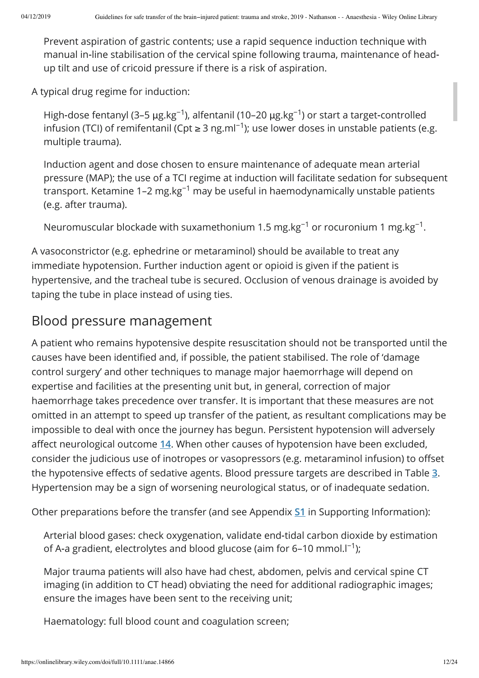Prevent aspiration of gastric contents; use a rapid sequence induction technique with manual in-line stabilisation of the cervical spine following trauma, maintenance of headup tilt and use of cricoid pressure if there is a risk of aspiration.

A typical drug regime for induction:

High-dose fentanyl (3–5  $\mu$ g.kg<sup>-1</sup>), alfentanil (10–20  $\mu$ g.kg<sup>-1</sup>) or start a target-controlled infusion (TCI) of remifentanil (Cpt ≥ 3 ng.ml<sup>−1</sup>); use lower doses in unstable patients (e.g. multiple trauma).

Induction agent and dose chosen to ensure maintenance of adequate mean arterial pressure (MAP); the use of a TCI regime at induction will facilitate sedation for subsequent transport. Ketamine 1–2  $\rm mg$ .kg $^{-1}$  may be useful in haemodynamically unstable patients (e.g. after trauma).

Neuromuscular blockade with suxamethonium 1.5 mg.kg<sup>-1</sup> or rocuronium 1 mg.kg<sup>-1</sup>.

A vasoconstrictor (e.g. ephedrine or metaraminol) should be available to treat any immediate hypotension. Further induction agent or opioid is given if the patient is hypertensive, and the tracheal tube is secured. Occlusion of venous drainage is avoided by taping the tube in place instead of using ties.

### Blood pressure management

A patient who remains hypotensive despite resuscitation should not be transported until the causes have been identified and, if possible, the patient stabilised. The role of 'damage control surgery' and other techniques to manage major haemorrhage will depend on expertise and facilities at the presenting unit but, in general, correction of major haemorrhage takes precedence over transfer. It is important that these measures are not omitted in an attempt to speed up transfer of the patient, as resultant complications may be impossible to deal with once the journey has begun. Persistent hypotension will adversely affect neurological outcome 14. When other causes of hypotension have been excluded, consider the judicious use of inotropes or vasopressors (e.g. metaraminol infusion) to offset the hypotensive effects of sedative agents. Blood pressure targets are described in Table 3. Hypertension may be a sign of worsening neurological status, or of inadequate sedation.

Other preparations before the transfer (and see Appendix **S1** in Supporting Information):

Arterial blood gases: check oxygenation, validate end‐tidal carbon dioxide by estimation of A-a gradient, electrolytes and blood glucose (aim for 6–10 mmol. $I^{-1}$ );

Major trauma patients will also have had chest, abdomen, pelvis and cervical spine CT imaging (in addition to CT head) obviating the need for additional radiographic images; ensure the images have been sent to the receiving unit;

Haematology: full blood count and coagulation screen;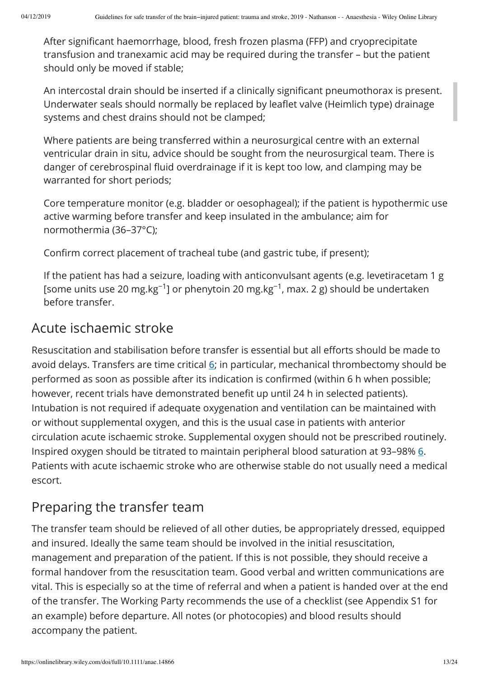After significant haemorrhage, blood, fresh frozen plasma (FFP) and cryoprecipitate transfusion and tranexamic acid may be required during the transfer – but the patient should only be moved if stable;

An intercostal drain should be inserted if a clinically significant pneumothorax is present. Underwater seals should normally be replaced by leaflet valve (Heimlich type) drainage systems and chest drains should not be clamped;

Where patients are being transferred within a neurosurgical centre with an external ventricular drain in situ, advice should be sought from the neurosurgical team. There is danger of cerebrospinal fluid overdrainage if it is kept too low, and clamping may be warranted for short periods;

Core temperature monitor (e.g. bladder or oesophageal); if the patient is hypothermic use active warming before transfer and keep insulated in the ambulance; aim for normothermia (36–37°C);

Confirm correct placement of tracheal tube (and gastric tube, if present);

If the patient has had a seizure, loading with anticonvulsant agents (e.g. levetiracetam 1 g [some units use 20 mg.kg<sup>-1</sup>] or phenytoin 20 mg.kg<sup>-1</sup>, max. 2 g) should be undertaken before transfer.

### Acute ischaemic stroke

Resuscitation and stabilisation before transfer is essential but all efforts should be made to avoid delays. Transfers are time critical **6**; in particular, mechanical thrombectomy should be performed as soon as possible after its indication is confirmed (within 6 h when possible; however, recent trials have demonstrated benefit up until 24 h in selected patients). Intubation is not required if adequate oxygenation and ventilation can be maintained with or without supplemental oxygen, and this is the usual case in patients with anterior circulation acute ischaemic stroke. Supplemental oxygen should not be prescribed routinely. Inspired oxygen should be titrated to maintain peripheral blood saturation at 93–98% **6**. Patients with acute ischaemic stroke who are otherwise stable do not usually need a medical escort.

## Preparing the transfer team

The transfer team should be relieved of all other duties, be appropriately dressed, equipped and insured. Ideally the same team should be involved in the initial resuscitation, management and preparation of the patient. If this is not possible, they should receive a formal handover from the resuscitation team. Good verbal and written communications are vital. This is especially so at the time of referral and when a patient is handed over at the end of the transfer. The Working Party recommends the use of a checklist (see Appendix S1 for an example) before departure. All notes (or photocopies) and blood results should accompany the patient.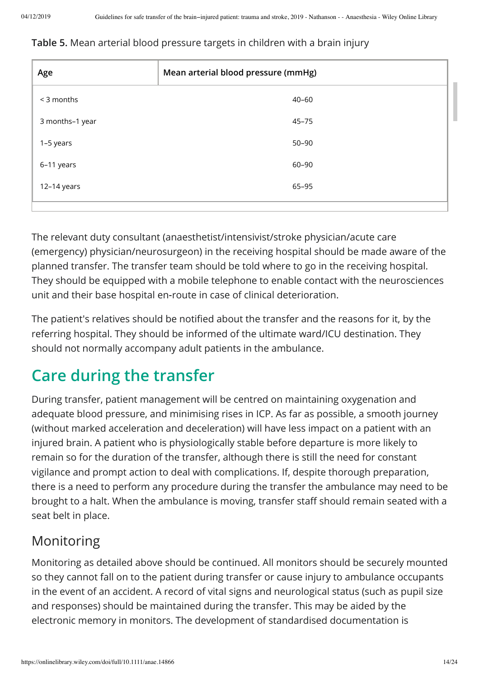#### **Table 5.** Mean arterial blood pressure targets in children with a brain injury

| Age             | Mean arterial blood pressure (mmHg) |
|-----------------|-------------------------------------|
| < 3 months      | $40 - 60$                           |
| 3 months-1 year | $45 - 75$                           |
| 1–5 years       | $50 - 90$                           |
| 6-11 years      | 60-90                               |
| 12-14 years     | 65-95                               |
|                 |                                     |

The relevant duty consultant (anaesthetist/intensivist/stroke physician/acute care (emergency) physician/neurosurgeon) in the receiving hospital should be made aware of the planned transfer. The transfer team should be told where to go in the receiving hospital. They should be equipped with a mobile telephone to enable contact with the neurosciences unit and their base hospital en‐route in case of clinical deterioration.

The patient's relatives should be notified about the transfer and the reasons for it, by the referring hospital. They should be informed of the ultimate ward/ICU destination. They should not normally accompany adult patients in the ambulance.

# **Care during the transfer**

During transfer, patient management will be centred on maintaining oxygenation and adequate blood pressure, and minimising rises in ICP. As far as possible, a smooth journey (without marked acceleration and deceleration) will have less impact on a patient with an injured brain. A patient who is physiologically stable before departure is more likely to remain so for the duration of the transfer, although there is still the need for constant vigilance and prompt action to deal with complications. If, despite thorough preparation, there is a need to perform any procedure during the transfer the ambulance may need to be brought to a halt. When the ambulance is moving, transfer staff should remain seated with a seat belt in place.

# Monitoring

Monitoring as detailed above should be continued. All monitors should be securely mounted so they cannot fall on to the patient during transfer or cause injury to ambulance occupants in the event of an accident. A record of vital signs and neurological status (such as pupil size and responses) should be maintained during the transfer. This may be aided by the electronic memory in monitors. The development of standardised documentation is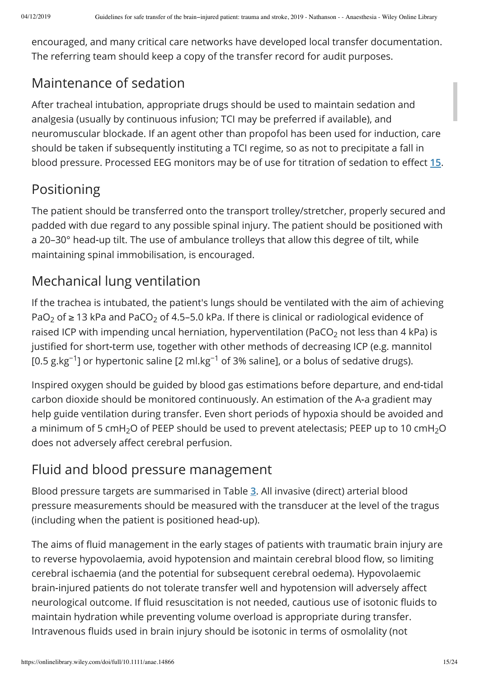encouraged, and many critical care networks have developed local transfer documentation. The referring team should keep a copy of the transfer record for audit purposes.

## Maintenance of sedation

After tracheal intubation, appropriate drugs should be used to maintain sedation and analgesia (usually by continuous infusion; TCI may be preferred if available), and neuromuscular blockade. If an agent other than propofol has been used for induction, care should be taken if subsequently instituting a TCI regime, so as not to precipitate a fall in blood pressure. Processed EEG monitors may be of use for titration of sedation to effect 15.

# Positioning

The patient should be transferred onto the transport trolley/stretcher, properly secured and padded with due regard to any possible spinal injury. The patient should be positioned with a 20–30° head-up tilt. The use of ambulance trolleys that allow this degree of tilt, while maintaining spinal immobilisation, is encouraged.

# Mechanical lung ventilation

If the trachea is intubated, the patient's lungs should be ventilated with the aim of achieving PaO<sub>2</sub> of  $\geq$  13 kPa and PaCO<sub>2</sub> of 4.5–5.0 kPa. If there is clinical or radiological evidence of raised ICP with impending uncal herniation, hyperventilation (PaCO $_2$  not less than 4 kPa) is justified for short-term use, together with other methods of decreasing ICP (e.g. mannitol [0.5 g.kg<sup>-1</sup>] or hypertonic saline [2 ml.kg<sup>-1</sup> of 3% saline], or a bolus of sedative drugs).

Inspired oxygen should be guided by blood gas estimations before departure, and end‐tidal carbon dioxide should be monitored continuously. An estimation of the A‐a gradient may help guide ventilation during transfer. Even short periods of hypoxia should be avoided and a minimum of 5 cmH $_2$ O of PEEP should be used to prevent atelectasis; PEEP up to 10 cmH $_2$ O does not adversely affect cerebral perfusion.

# Fluid and blood pressure management

Blood pressure targets are summarised in Table **3**. All invasive (direct) arterial blood pressure measurements should be measured with the transducer at the level of the tragus (including when the patient is positioned head‐up).

The aims of fluid management in the early stages of patients with traumatic brain injury are to reverse hypovolaemia, avoid hypotension and maintain cerebral blood flow, so limiting cerebral ischaemia (and the potential for subsequent cerebral oedema). Hypovolaemic brain-injured patients do not tolerate transfer well and hypotension will adversely affect neurological outcome. If fluid resuscitation is not needed, cautious use of isotonic fluids to maintain hydration while preventing volume overload is appropriate during transfer. Intravenous fluids used in brain injury should be isotonic in terms of osmolality (not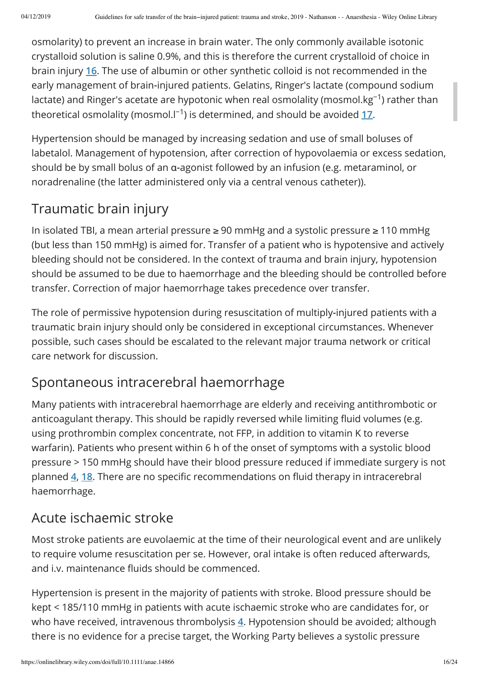osmolarity) to prevent an increase in brain water. The only commonly available isotonic crystalloid solution is saline 0.9%, and this is therefore the current crystalloid of choice in brain injury **16**. The use of albumin or other synthetic colloid is not recommended in the early management of brain‐injured patients. Gelatins, Ringer's lactate (compound sodium lactate) and Ringer's acetate are hypotonic when real osmolality (mosmol.kg $^{-1}$ ) rather than theoretical osmolality (mosmol.l<sup>-1</sup>) is determined, and should be avoided <u>17</u>.

Hypertension should be managed by increasing sedation and use of small boluses of labetalol. Management of hypotension, after correction of hypovolaemia or excess sedation, should be by small bolus of an α‐agonist followed by an infusion (e.g. metaraminol, or noradrenaline (the latter administered only via a central venous catheter)).

# Traumatic brain injury

In isolated TBI, a mean arterial pressure ≥ 90 mmHg and a systolic pressure ≥ 110 mmHg (but less than 150 mmHg) is aimed for. Transfer of a patient who is hypotensive and actively bleeding should not be considered. In the context of trauma and brain injury, hypotension should be assumed to be due to haemorrhage and the bleeding should be controlled before transfer. Correction of major haemorrhage takes precedence over transfer.

The role of permissive hypotension during resuscitation of multiply‐injured patients with a traumatic brain injury should only be considered in exceptional circumstances. Whenever possible, such cases should be escalated to the relevant major trauma network or critical care network for discussion.

## Spontaneous intracerebral haemorrhage

Many patients with intracerebral haemorrhage are elderly and receiving antithrombotic or anticoagulant therapy. This should be rapidly reversed while limiting fluid volumes (e.g. using prothrombin complex concentrate, not FFP, in addition to vitamin K to reverse warfarin). Patients who present within 6 h of the onset of symptoms with a systolic blood pressure > 150 mmHg should have their blood pressure reduced if immediate surgery is not planned 4, 18. There are no specific recommendations on fluid therapy in intracerebral haemorrhage.

## Acute ischaemic stroke

Most stroke patients are euvolaemic at the time of their neurological event and are unlikely to require volume resuscitation per se. However, oral intake is often reduced afterwards, and i.v. maintenance fluids should be commenced.

Hypertension is present in the majority of patients with stroke. Blood pressure should be kept < 185/110 mmHg in patients with acute ischaemic stroke who are candidates for, or who have received, intravenous thrombolysis **4**. Hypotension should be avoided; although there is no evidence for a precise target, the Working Party believes a systolic pressure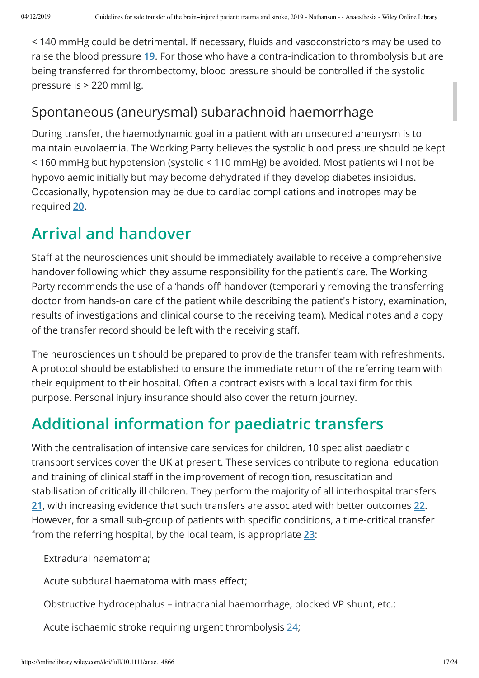< 140 mmHg could be detrimental. If necessary, fluids and vasoconstrictors may be used to raise the blood pressure **19**. For those who have a contra‐indication to thrombolysis but are being transferred for thrombectomy, blood pressure should be controlled if the systolic pressure is > 220 mmHg.

## Spontaneous (aneurysmal) subarachnoid haemorrhage

During transfer, the haemodynamic goal in a patient with an unsecured aneurysm is to maintain euvolaemia. The Working Party believes the systolic blood pressure should be kept < 160 mmHg but hypotension (systolic < 110 mmHg) be avoided. Most patients will not be hypovolaemic initially but may become dehydrated if they develop diabetes insipidus. Occasionally, hypotension may be due to cardiac complications and inotropes may be required **20**.

# **Arrival and handover**

Staff at the neurosciences unit should be immediately available to receive a comprehensive handover following which they assume responsibility for the patient's care. The Working Party recommends the use of a 'hands-off' handover (temporarily removing the transferring doctor from hands‐on care of the patient while describing the patient's history, examination, results of investigations and clinical course to the receiving team). Medical notes and a copy of the transfer record should be left with the receiving staff.

The neurosciences unit should be prepared to provide the transfer team with refreshments. A protocol should be established to ensure the immediate return of the referring team with their equipment to their hospital. Often a contract exists with a local taxi firm for this purpose. Personal injury insurance should also cover the return journey.

# **Additional information for paediatric transfers**

With the centralisation of intensive care services for children, 10 specialist paediatric transport services cover the UK at present. These services contribute to regional education and training of clinical staff in the improvement of recognition, resuscitation and stabilisation of critically ill children. They perform the majority of all interhospital transfers **21**, with increasing evidence that such transfers are associated with better outcomes **22**. However, for a small sub-group of patients with specific conditions, a time-critical transfer from the referring hospital, by the local team, is appropriate **23**:

Extradural haematoma;

Acute subdural haematoma with mass effect;

Obstructive hydrocephalus – intracranial haemorrhage, blocked VP shunt, etc.;

Acute ischaemic stroke requiring urgent thrombolysis 24;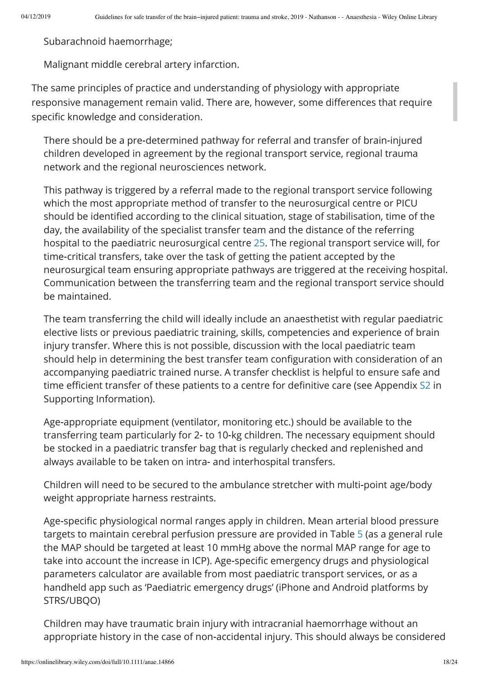Subarachnoid haemorrhage;

Malignant middle cerebral artery infarction.

The same principles of practice and understanding of physiology with appropriate responsive management remain valid. There are, however, some differences that require specific knowledge and consideration.

There should be a pre‐determined pathway for referral and transfer of brain‐injured children developed in agreement by the regional transport service, regional trauma network and the regional neurosciences network.

This pathway is triggered by a referral made to the regional transport service following which the most appropriate method of transfer to the neurosurgical centre or PICU should be identified according to the clinical situation, stage of stabilisation, time of the day, the availability of the specialist transfer team and the distance of the referring hospital to the paediatric neurosurgical centre 25. The regional transport service will, for time‐critical transfers, take over the task of getting the patient accepted by the neurosurgical team ensuring appropriate pathways are triggered at the receiving hospital. Communication between the transferring team and the regional transport service should be maintained.

The team transferring the child will ideally include an anaesthetist with regular paediatric elective lists or previous paediatric training, skills, competencies and experience of brain injury transfer. Where this is not possible, discussion with the local paediatric team should help in determining the best transfer team configuration with consideration of an accompanying paediatric trained nurse. A transfer checklist is helpful to ensure safe and time efficient transfer of these patients to a centre for definitive care (see Appendix S2 in Supporting Information).

Age-appropriate equipment (ventilator, monitoring etc.) should be available to the transferring team particularly for 2‐ to 10‐kg children. The necessary equipment should be stocked in a paediatric transfer bag that is regularly checked and replenished and always available to be taken on intra‐ and interhospital transfers.

Children will need to be secured to the ambulance stretcher with multi‐point age/body weight appropriate harness restraints.

Age-specific physiological normal ranges apply in children. Mean arterial blood pressure targets to maintain cerebral perfusion pressure are provided in Table 5 (as a general rule the MAP should be targeted at least 10 mmHg above the normal MAP range for age to take into account the increase in ICP). Age-specific emergency drugs and physiological parameters calculator are available from most paediatric transport services, or as a handheld app such as 'Paediatric emergency drugs' (iPhone and Android platforms by STRS/UBQO)

Children may have traumatic brain injury with intracranial haemorrhage without an appropriate history in the case of non‐accidental injury. This should always be considered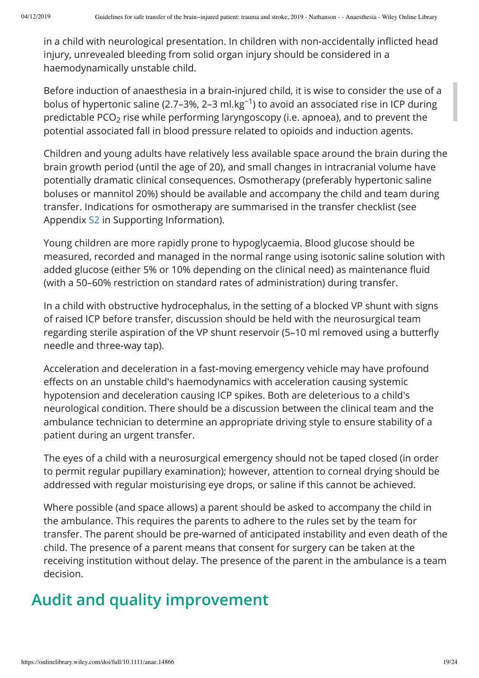in a child with neurological presentation. In children with non-accidentally inflicted head injury, unrevealed bleeding from solid organ injury should be considered in a haemodynamically unstable child.

Before induction of anaesthesia in a brain‐injured child, it is wise to consider the use of a bolus of hypertonic saline (2.7–3%, 2–3 ml.kg<sup>-1</sup>) to avoid an associated rise in ICP during predictable PCO $_2$  rise while performing laryngoscopy (i.e. apnoea), and to prevent the potential associated fall in blood pressure related to opioids and induction agents.

Children and young adults have relatively less available space around the brain during the brain growth period (until the age of 20), and small changes in intracranial volume have potentially dramatic clinical consequences. Osmotherapy (preferably hypertonic saline boluses or mannitol 20%) should be available and accompany the child and team during transfer. Indications for osmotherapy are summarised in the transfer checklist (see Appendix S2 in Supporting Information).

Young children are more rapidly prone to hypoglycaemia. Blood glucose should be measured, recorded and managed in the normal range using isotonic saline solution with added glucose (either 5% or 10% depending on the clinical need) as maintenance fluid (with a 50–60% restriction on standard rates of administration) during transfer.

In a child with obstructive hydrocephalus, in the setting of a blocked VP shunt with signs of raised ICP before transfer, discussion should be held with the neurosurgical team regarding sterile aspiration of the VP shunt reservoir (5-10 ml removed using a butterfly needle and three‐way tap).

Acceleration and deceleration in a fast‐moving emergency vehicle may have profound effects on an unstable child's haemodynamics with acceleration causing systemic hypotension and deceleration causing ICP spikes. Both are deleterious to a child's neurological condition. There should be a discussion between the clinical team and the ambulance technician to determine an appropriate driving style to ensure stability of a patient during an urgent transfer.

The eyes of a child with a neurosurgical emergency should not be taped closed (in order to permit regular pupillary examination); however, attention to corneal drying should be addressed with regular moisturising eye drops, or saline if this cannot be achieved.

Where possible (and space allows) a parent should be asked to accompany the child in the ambulance. This requires the parents to adhere to the rules set by the team for transfer. The parent should be pre‐warned of anticipated instability and even death of the child. The presence of a parent means that consent for surgery can be taken at the receiving institution without delay. The presence of the parent in the ambulance is a team decision.

# **Audit and quality improvement**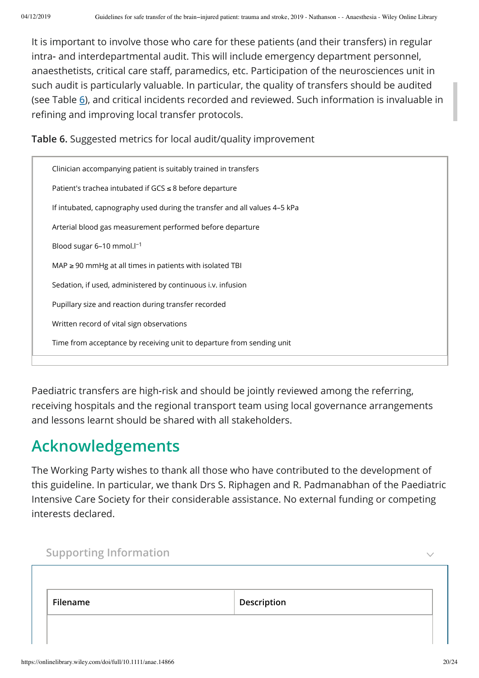It is important to involve those who care for these patients (and their transfers) in regular intra‐ and interdepartmental audit. This will include emergency department personnel, anaesthetists, critical care staff, paramedics, etc. Participation of the neurosciences unit in such audit is particularly valuable. In particular, the quality of transfers should be audited (see Table **6**), and critical incidents recorded and reviewed. Such information is invaluable in refining and improving local transfer protocols.

**Table 6.** Suggested metrics for local audit/quality improvement

| Clinician accompanying patient is suitably trained in transfers           |
|---------------------------------------------------------------------------|
| Patient's trachea intubated if $GCS \leq 8$ before departure              |
| If intubated, capnography used during the transfer and all values 4-5 kPa |
| Arterial blood gas measurement performed before departure                 |
| Blood sugar $6-10$ mmol. $I^{-1}$                                         |
| $MAP \geq 90$ mmHg at all times in patients with isolated TBI             |
| Sedation, if used, administered by continuous i.v. infusion               |
| Pupillary size and reaction during transfer recorded                      |
| Written record of vital sign observations                                 |
| Time from acceptance by receiving unit to departure from sending unit     |
|                                                                           |

Paediatric transfers are high‐risk and should be jointly reviewed among the referring, receiving hospitals and the regional transport team using local governance arrangements and lessons learnt should be shared with all stakeholders.

# **Acknowledgements**

The Working Party wishes to thank all those who have contributed to the development of this guideline. In particular, we thank Drs S. Riphagen and R. Padmanabhan of the Paediatric Intensive Care Society for their considerable assistance. No external funding or competing interests declared.

| <b>Supporting Information</b> |             |  |
|-------------------------------|-------------|--|
|                               |             |  |
| Filename                      | Description |  |
|                               |             |  |
|                               |             |  |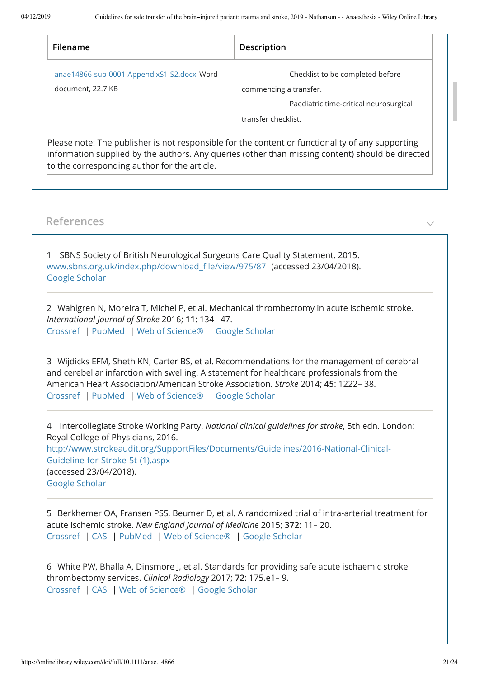| Filename                                     | Description                                                                                                                                                                                          |
|----------------------------------------------|------------------------------------------------------------------------------------------------------------------------------------------------------------------------------------------------------|
| anae14866-sup-0001-AppendixS1-S2.docx Word   | Checklist to be completed before                                                                                                                                                                     |
| document, 22.7 KB                            | commencing a transfer.                                                                                                                                                                               |
|                                              | Paediatric time-critical neurosurgical                                                                                                                                                               |
|                                              | transfer checklist.                                                                                                                                                                                  |
| to the corresponding author for the article. | Please note: The publisher is not responsible for the content or functionality of any supporting<br>information supplied by the authors. Any queries (other than missing content) should be directed |

#### **References**

1 SBNS Society of British Neurological Surgeons Care Quality Statement. 2015. www.sbns.org.uk/index.php/download\_file/view/975/87 (accessed 23/04/2018). Google Scholar

2 Wahlgren N, Moreira T, Michel P, et al. Mechanical thrombectomy in acute ischemic stroke. *International Journal of Stroke* 2016; **11**: 134– 47. Crossref | PubMed | Web of Science® | Google Scholar

3 Wijdicks EFM, Sheth KN, Carter BS, et al. Recommendations for the management of cerebral and cerebellar infarction with swelling. A statement for healthcare professionals from the American Heart Association/American Stroke Association. *Stroke* 2014; **45**: 1222– 38. Crossref | PubMed | Web of Science® | Google Scholar

4 Intercollegiate Stroke Working Party. *National clinical guidelines for stroke*, 5th edn. London: Royal College of Physicians, 2016. http://www.strokeaudit.org/SupportFiles/Documents/Guidelines/2016-National-Clinical-Guideline-for-Stroke-5t-(1).aspx (accessed 23/04/2018). Google Scholar

5 Berkhemer OA, Fransen PSS, Beumer D, et al. A randomized trial of intra‐arterial treatment for acute ischemic stroke. *New England Journal of Medicine* 2015; **372**: 11– 20. Crossref | CAS | PubMed | Web of Science® | Google Scholar

6 White PW, Bhalla A, Dinsmore J, et al. Standards for providing safe acute ischaemic stroke thrombectomy services. *Clinical Radiology* 2017; **72**: 175.e1– 9. Crossref | CAS | Web of Science® | Google Scholar

 $\checkmark$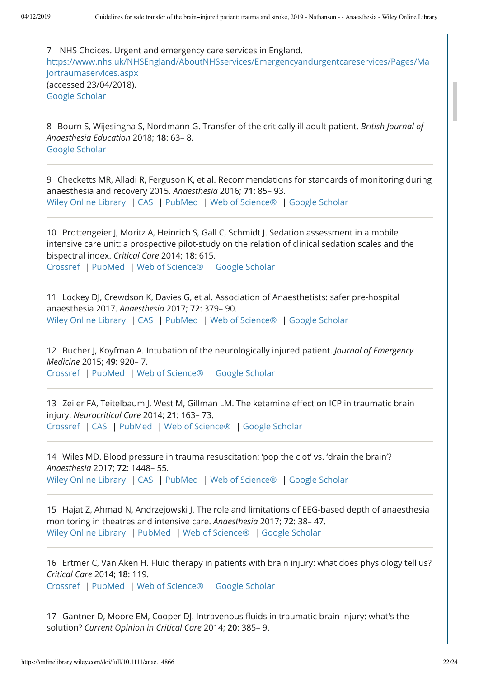7 NHS Choices. Urgent and emergency care services in England. https://www.nhs.uk/NHSEngland/AboutNHSservices/Emergencyandurgentcareservices/Pages/Ma jortraumaservices.aspx (accessed 23/04/2018). Google Scholar

8 Bourn S, Wijesingha S, Nordmann G. Transfer of the critically ill adult patient. *British Journal of Anaesthesia Education* 2018; **18**: 63– 8. Google Scholar

9 Checketts MR, Alladi R, Ferguson K, et al. Recommendations for standards of monitoring during anaesthesia and recovery 2015. *Anaesthesia* 2016; **71**: 85– 93. Wiley Online Library | CAS | PubMed | Web of Science® | Google Scholar

10 Prottengeier J, Moritz A, Heinrich S, Gall C, Schmidt J. Sedation assessment in a mobile intensive care unit: a prospective pilot‐study on the relation of clinical sedation scales and the bispectral index. *Critical Care* 2014; **18**: 615. Crossref | PubMed | Web of Science® | Google Scholar

11 Lockey DJ, Crewdson K, Davies G, et al. Association of Anaesthetists: safer pre‐hospital anaesthesia 2017. *Anaesthesia* 2017; **72**: 379– 90. Wiley Online Library | CAS | PubMed | Web of Science® | Google Scholar

12 Bucher J, Koyfman A. Intubation of the neurologically injured patient. *Journal of Emergency Medicine* 2015; **49**: 920– 7. Crossref | PubMed | Web of Science® | Google Scholar

13 Zeiler FA, Teitelbaum J, West M, Gillman LM. The ketamine effect on ICP in traumatic brain injury. *Neurocritical Care* 2014; **21**: 163– 73. Crossref | CAS | PubMed | Web of Science® | Google Scholar

14 Wiles MD. Blood pressure in trauma resuscitation: 'pop the clot' vs. 'drain the brain'? *Anaesthesia* 2017; **72**: 1448– 55. Wiley Online Library | CAS | PubMed | Web of Science® | Google Scholar

15 Hajat Z, Ahmad N, Andrzejowski J. The role and limitations of EEG‐based depth of anaesthesia monitoring in theatres and intensive care. *Anaesthesia* 2017; **72**: 38– 47. Wiley Online Library | PubMed | Web of Science® | Google Scholar

16 Ertmer C, Van Aken H. Fluid therapy in patients with brain injury: what does physiology tell us? *Critical Care* 2014; **18**: 119.

Crossref | PubMed | Web of Science® | Google Scholar

17 Gantner D, Moore EM, Cooper DJ. Intravenous fluids in traumatic brain injury: what's the solution? *Current Opinion in Critical Care* 2014; **20**: 385– 9.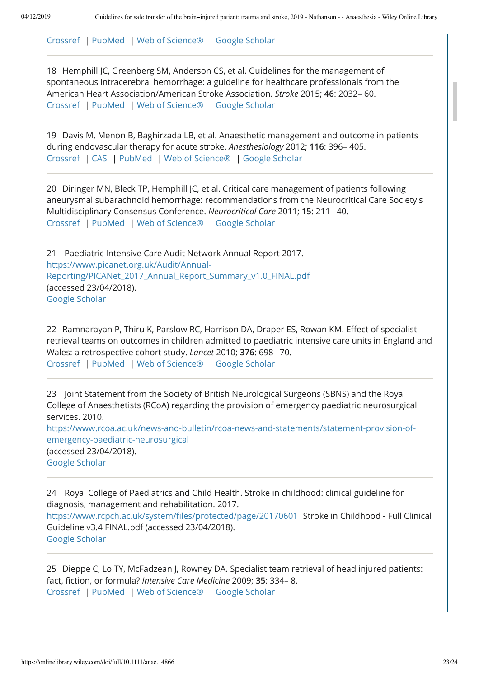Crossref | PubMed | Web of Science® | Google Scholar

18 Hemphill JC, Greenberg SM, Anderson CS, et al. Guidelines for the management of spontaneous intracerebral hemorrhage: a guideline for healthcare professionals from the American Heart Association/American Stroke Association. *Stroke* 2015; **46**: 2032– 60. Crossref | PubMed | Web of Science® | Google Scholar

19 Davis M, Menon B, Baghirzada LB, et al. Anaesthetic management and outcome in patients during endovascular therapy for acute stroke. *Anesthesiology* 2012; **116**: 396– 405. Crossref | CAS | PubMed | Web of Science® | Google Scholar

20 Diringer MN, Bleck TP, Hemphill JC, et al. Critical care management of patients following aneurysmal subarachnoid hemorrhage: recommendations from the Neurocritical Care Society's Multidisciplinary Consensus Conference. *Neurocritical Care* 2011; **15**: 211– 40. Crossref | PubMed | Web of Science® | Google Scholar

21 Paediatric Intensive Care Audit Network Annual Report 2017. https://www.picanet.org.uk/Audit/Annual-Reporting/PICANet\_2017\_Annual\_Report\_Summary\_v1.0\_FINAL.pdf (accessed 23/04/2018). Google Scholar

22 Ramnarayan P, Thiru K, Parslow RC, Harrison DA, Draper ES, Rowan KM. Effect of specialist retrieval teams on outcomes in children admitted to paediatric intensive care units in England and Wales: a retrospective cohort study. *Lancet* 2010; **376**: 698– 70. Crossref | PubMed | Web of Science® | Google Scholar

23 Joint Statement from the Society of British Neurological Surgeons (SBNS) and the Royal College of Anaesthetists (RCoA) regarding the provision of emergency paediatric neurosurgical services. 2010.

https://www.rcoa.ac.uk/news-and-bulletin/rcoa-news-and-statements/statement-provision-ofemergency-paediatric-neurosurgical (accessed 23/04/2018). Google Scholar

24 Royal College of Paediatrics and Child Health. Stroke in childhood: clinical guideline for diagnosis, management and rehabilitation. 2017. https://www.rcpch.ac.uk/system/files/protected/page/20170601 Stroke in Childhood - Full Clinical Guideline v3.4 FINAL.pdf (accessed 23/04/2018). Google Scholar

25 Dieppe C, Lo TY, McFadzean J, Rowney DA. Specialist team retrieval of head injured patients: fact, fiction, or formula? *Intensive Care Medicine* 2009; 35: 334– 8. Crossref | PubMed | Web of Science® | Google Scholar